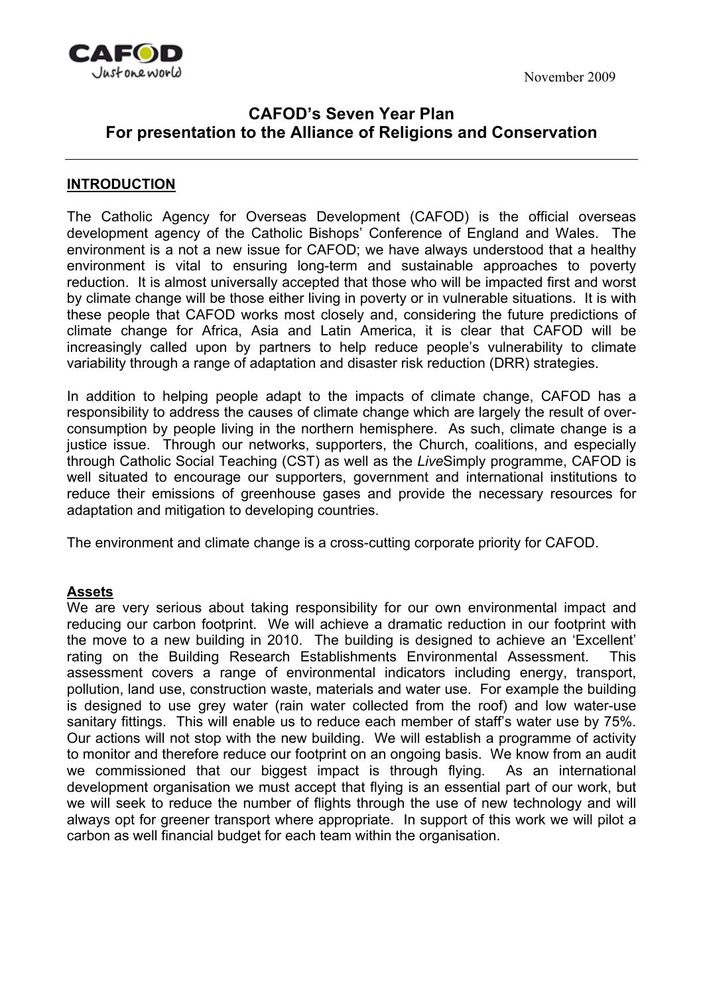November 2009



## **CAFOD's Seven Year Plan For presentation to the Alliance of Religions and Conservation**

### **INTRODUCTION**

The Catholic Agency for Overseas Development (CAFOD) is the official overseas development agency of the Catholic Bishops' Conference of England and Wales. The environment is a not a new issue for CAFOD; we have always understood that a healthy environment is vital to ensuring long-term and sustainable approaches to poverty reduction. It is almost universally accepted that those who will be impacted first and worst by climate change will be those either living in poverty or in vulnerable situations. It is with these people that CAFOD works most closely and, considering the future predictions of climate change for Africa, Asia and Latin America, it is clear that CAFOD will be increasingly called upon by partners to help reduce people's vulnerability to climate variability through a range of adaptation and disaster risk reduction (DRR) strategies.

In addition to helping people adapt to the impacts of climate change, CAFOD has a responsibility to address the causes of climate change which are largely the result of overconsumption by people living in the northern hemisphere. As such, climate change is a justice issue. Through our networks, supporters, the Church, coalitions, and especially through Catholic Social Teaching (CST) as well as the *Live*Simply programme, CAFOD is well situated to encourage our supporters, government and international institutions to reduce their emissions of greenhouse gases and provide the necessary resources for adaptation and mitigation to developing countries.

The environment and climate change is a cross-cutting corporate priority for CAFOD.

### **Assets**

We are very serious about taking responsibility for our own environmental impact and reducing our carbon footprint. We will achieve a dramatic reduction in our footprint with the move to a new building in 2010. The building is designed to achieve an 'Excellent' rating on the Building Research Establishments Environmental Assessment. This assessment covers a range of environmental indicators including energy, transport, pollution, land use, construction waste, materials and water use. For example the building is designed to use grey water (rain water collected from the roof) and low water-use sanitary fittings. This will enable us to reduce each member of staff's water use by 75%. Our actions will not stop with the new building. We will establish a programme of activity to monitor and therefore reduce our footprint on an ongoing basis. We know from an audit we commissioned that our biggest impact is through flying. As an international development organisation we must accept that flying is an essential part of our work, but we will seek to reduce the number of flights through the use of new technology and will always opt for greener transport where appropriate. In support of this work we will pilot a carbon as well financial budget for each team within the organisation.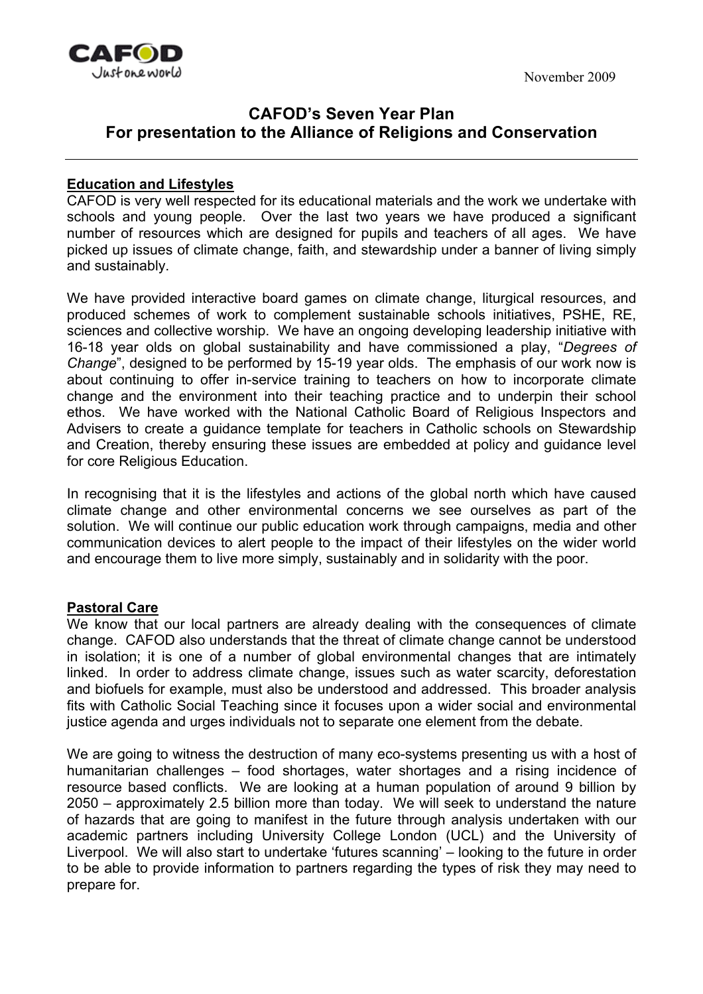

# **CAFOD's Seven Year Plan For presentation to the Alliance of Religions and Conservation**

## **Education and Lifestyles**

CAFOD is very well respected for its educational materials and the work we undertake with schools and young people. Over the last two years we have produced a significant number of resources which are designed for pupils and teachers of all ages. We have picked up issues of climate change, faith, and stewardship under a banner of living simply and sustainably.

We have provided interactive board games on climate change, liturgical resources, and produced schemes of work to complement sustainable schools initiatives, PSHE, RE, sciences and collective worship. We have an ongoing developing leadership initiative with 16-18 year olds on global sustainability and have commissioned a play, "*Degrees of Change*", designed to be performed by 15-19 year olds. The emphasis of our work now is about continuing to offer in-service training to teachers on how to incorporate climate change and the environment into their teaching practice and to underpin their school ethos. We have worked with the National Catholic Board of Religious Inspectors and Advisers to create a guidance template for teachers in Catholic schools on Stewardship and Creation, thereby ensuring these issues are embedded at policy and guidance level for core Religious Education.

In recognising that it is the lifestyles and actions of the global north which have caused climate change and other environmental concerns we see ourselves as part of the solution. We will continue our public education work through campaigns, media and other communication devices to alert people to the impact of their lifestyles on the wider world and encourage them to live more simply, sustainably and in solidarity with the poor.

#### **Pastoral Care**

We know that our local partners are already dealing with the consequences of climate change. CAFOD also understands that the threat of climate change cannot be understood in isolation; it is one of a number of global environmental changes that are intimately linked. In order to address climate change, issues such as water scarcity, deforestation and biofuels for example, must also be understood and addressed. This broader analysis fits with Catholic Social Teaching since it focuses upon a wider social and environmental justice agenda and urges individuals not to separate one element from the debate.

We are going to witness the destruction of many eco-systems presenting us with a host of humanitarian challenges – food shortages, water shortages and a rising incidence of resource based conflicts. We are looking at a human population of around 9 billion by 2050 – approximately 2.5 billion more than today. We will seek to understand the nature of hazards that are going to manifest in the future through analysis undertaken with our academic partners including University College London (UCL) and the University of Liverpool. We will also start to undertake 'futures scanning' – looking to the future in order to be able to provide information to partners regarding the types of risk they may need to prepare for.